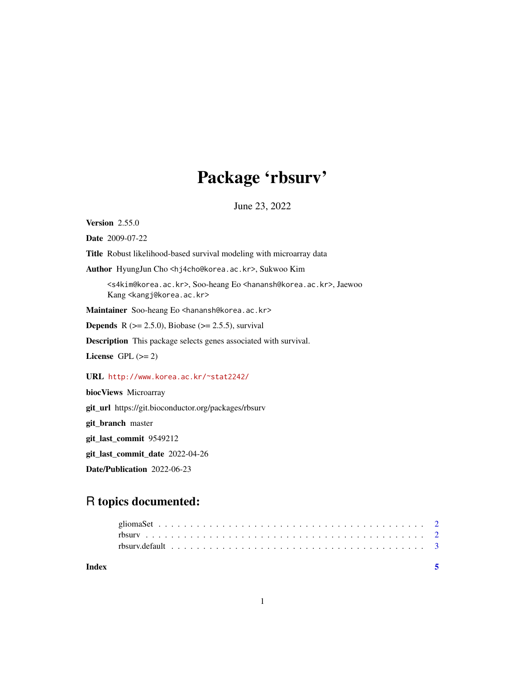## Package 'rbsurv'

June 23, 2022

Version 2.55.0

Date 2009-07-22

Title Robust likelihood-based survival modeling with microarray data

Author HyungJun Cho <hj4cho@korea.ac.kr>, Sukwoo Kim

<s4kim@korea.ac.kr>, Soo-heang Eo <hanansh@korea.ac.kr>, Jaewoo Kang <kangj@korea.ac.kr>

Maintainer Soo-heang Eo <hanansh@korea.ac.kr>

**Depends** R  $(>= 2.5.0)$ , Biobase  $(>= 2.5.5)$ , survival

Description This package selects genes associated with survival.

License GPL  $(>= 2)$ 

#### URL <http://www.korea.ac.kr/~stat2242/>

biocViews Microarray

git\_url https://git.bioconductor.org/packages/rbsurv

git\_branch master

git\_last\_commit 9549212

git\_last\_commit\_date 2022-04-26

Date/Publication 2022-06-23

### R topics documented:

| Index |  |  |  |  |  |  |  |  |  |  |  |  |  |  |  |  |  |  |  |  |
|-------|--|--|--|--|--|--|--|--|--|--|--|--|--|--|--|--|--|--|--|--|
|       |  |  |  |  |  |  |  |  |  |  |  |  |  |  |  |  |  |  |  |  |
|       |  |  |  |  |  |  |  |  |  |  |  |  |  |  |  |  |  |  |  |  |
|       |  |  |  |  |  |  |  |  |  |  |  |  |  |  |  |  |  |  |  |  |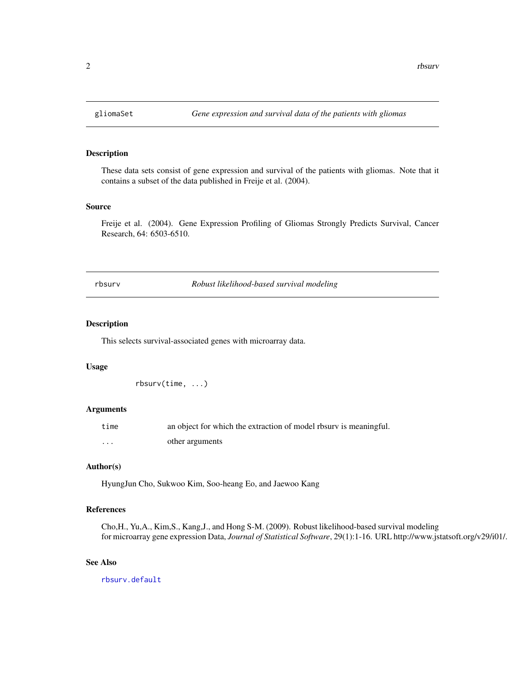<span id="page-1-0"></span>

#### Description

These data sets consist of gene expression and survival of the patients with gliomas. Note that it contains a subset of the data published in Freije et al. (2004).

#### Source

Freije et al. (2004). Gene Expression Profiling of Gliomas Strongly Predicts Survival, Cancer Research, 64: 6503-6510.

<span id="page-1-1"></span>rbsurv *Robust likelihood-based survival modeling*

#### Description

This selects survival-associated genes with microarray data.

#### Usage

rbsurv(time, ...)

#### Arguments

| time     | an object for which the extraction of model rbsurv is meaningful. |
|----------|-------------------------------------------------------------------|
| $\cdots$ | other arguments                                                   |

#### Author(s)

HyungJun Cho, Sukwoo Kim, Soo-heang Eo, and Jaewoo Kang

#### References

Cho,H., Yu,A., Kim,S., Kang,J., and Hong S-M. (2009). Robust likelihood-based survival modeling for microarray gene expression Data, *Journal of Statistical Software*, 29(1):1-16. URL http://www.jstatsoft.org/v29/i01/.

#### See Also

[rbsurv.default](#page-2-1)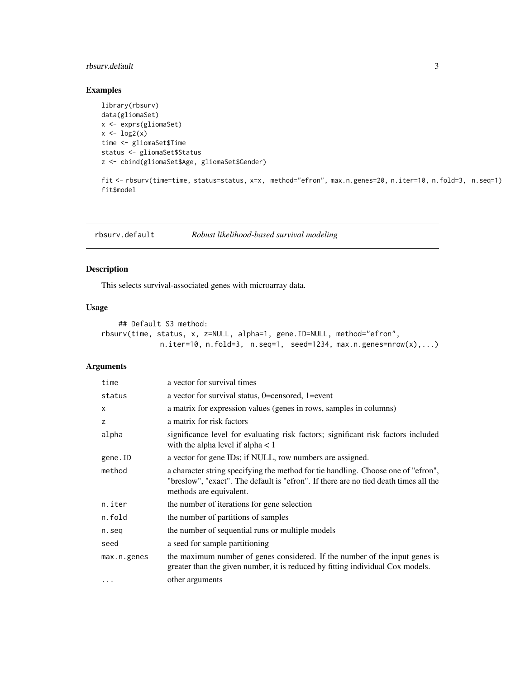#### <span id="page-2-0"></span>rbsurv.default 3

#### Examples

```
library(rbsurv)
data(gliomaSet)
x <- exprs(gliomaSet)
x \leftarrow \log 2(x)time <- gliomaSet$Time
status <- gliomaSet$Status
z <- cbind(gliomaSet$Age, gliomaSet$Gender)
```
fit <- rbsurv(time=time, status=status, x=x, method="efron", max.n.genes=20, n.iter=10, n.fold=3, n.seq=1) fit\$model

<span id="page-2-1"></span>rbsurv.default *Robust likelihood-based survival modeling*

#### Description

This selects survival-associated genes with microarray data.

#### Usage

```
## Default S3 method:
rbsurv(time, status, x, z=NULL, alpha=1, gene.ID=NULL, method="efron",
             n.iter=10, n.fold=3, n.seq=1, seed=1234, max.n.geness=nrow(x),...)
```
#### Arguments

| time        | a vector for survival times                                                                                                                                                                          |
|-------------|------------------------------------------------------------------------------------------------------------------------------------------------------------------------------------------------------|
| status      | a vector for survival status, 0=censored, 1=event                                                                                                                                                    |
| X           | a matrix for expression values (genes in rows, samples in columns)                                                                                                                                   |
| z           | a matrix for risk factors                                                                                                                                                                            |
| alpha       | significance level for evaluating risk factors; significant risk factors included<br>with the alpha level if alpha $< 1$                                                                             |
| gene.ID     | a vector for gene IDs; if NULL, row numbers are assigned.                                                                                                                                            |
| method      | a character string specifying the method for tie handling. Choose one of "efron",<br>"breslow", "exact". The default is "efron". If there are no tied death times all the<br>methods are equivalent. |
| n.iter      | the number of iterations for gene selection                                                                                                                                                          |
| n.fold      | the number of partitions of samples                                                                                                                                                                  |
| n.seq       | the number of sequential runs or multiple models                                                                                                                                                     |
| seed        | a seed for sample partitioning                                                                                                                                                                       |
| max.n.genes | the maximum number of genes considered. If the number of the input genes is<br>greater than the given number, it is reduced by fitting individual Cox models.                                        |
| $\cdots$    | other arguments                                                                                                                                                                                      |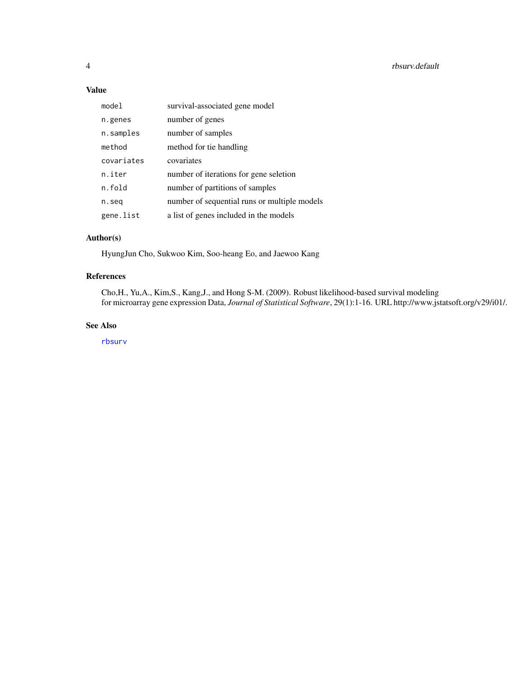#### <span id="page-3-0"></span>Value

| model      | survival-associated gene model               |
|------------|----------------------------------------------|
| n.genes    | number of genes                              |
| n.samples  | number of samples                            |
| method     | method for tie handling                      |
| covariates | covariates                                   |
| n.iter     | number of iterations for gene seletion       |
| n.fold     | number of partitions of samples              |
| n.seg      | number of sequential runs or multiple models |
| gene.list  | a list of genes included in the models       |

#### Author(s)

HyungJun Cho, Sukwoo Kim, Soo-heang Eo, and Jaewoo Kang

#### References

Cho,H., Yu,A., Kim,S., Kang,J., and Hong S-M. (2009). Robust likelihood-based survival modeling for microarray gene expression Data, *Journal of Statistical Software*, 29(1):1-16. URL http://www.jstatsoft.org/v29/i01/.

#### See Also

[rbsurv](#page-1-1)